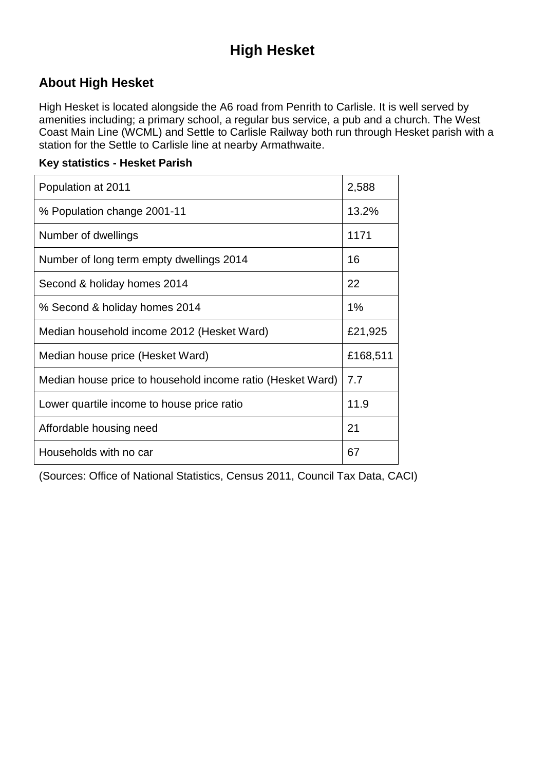# **High Hesket**

## **About High Hesket**

High Hesket is located alongside the A6 road from Penrith to Carlisle. It is well served by amenities including; a primary school, a regular bus service, a pub and a church. The West Coast Main Line (WCML) and Settle to Carlisle Railway both run through Hesket parish with a station for the Settle to Carlisle line at nearby Armathwaite.

#### **Key statistics - Hesket Parish**

| Population at 2011                                         | 2,588    |
|------------------------------------------------------------|----------|
| % Population change 2001-11                                | 13.2%    |
| Number of dwellings                                        | 1171     |
| Number of long term empty dwellings 2014                   | 16       |
| Second & holiday homes 2014                                | 22       |
| % Second & holiday homes 2014                              | 1%       |
| Median household income 2012 (Hesket Ward)                 | £21,925  |
| Median house price (Hesket Ward)                           | £168,511 |
| Median house price to household income ratio (Hesket Ward) | 7.7      |
| Lower quartile income to house price ratio                 | 11.9     |
| Affordable housing need                                    | 21       |
| Households with no car                                     | 67       |

(Sources: Office of National Statistics, Census 2011, Council Tax Data, CACI)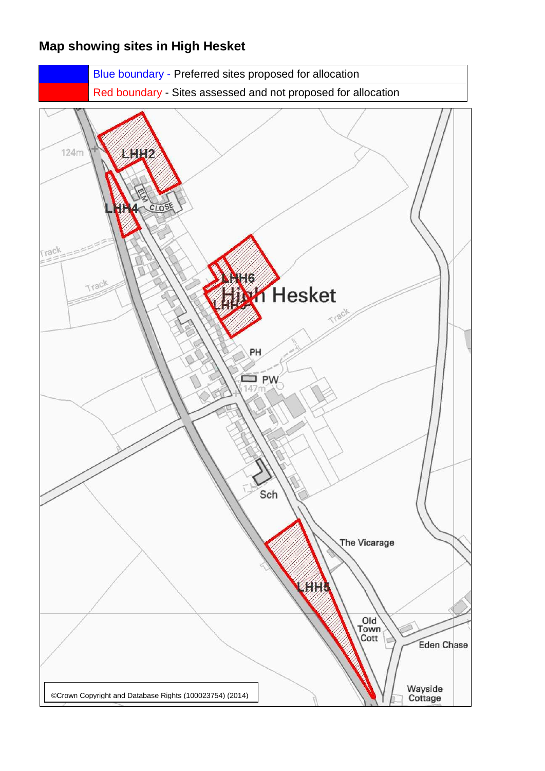### **Map showing sites in High Hesket**

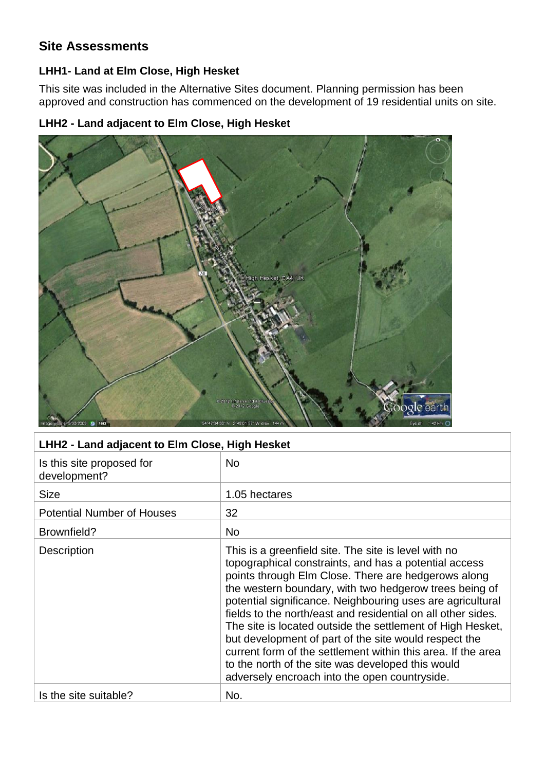### **Site Assessments**

#### **LHH1- Land at Elm Close, High Hesket**

This site was included in the Alternative Sites document. Planning permission has been approved and construction has commenced on the development of 19 residential units on site.

#### **LHH2 - Land adjacent to Elm Close, High Hesket**



#### **LHH2 - Land adjacent to Elm Close, High Hesket**

| Is this site proposed for<br>development? | <b>No</b>                                                                                                                                                                                                                                                                                                                                                                                                                                                                                                                                                                                                                                                 |
|-------------------------------------------|-----------------------------------------------------------------------------------------------------------------------------------------------------------------------------------------------------------------------------------------------------------------------------------------------------------------------------------------------------------------------------------------------------------------------------------------------------------------------------------------------------------------------------------------------------------------------------------------------------------------------------------------------------------|
| <b>Size</b>                               | 1.05 hectares                                                                                                                                                                                                                                                                                                                                                                                                                                                                                                                                                                                                                                             |
| <b>Potential Number of Houses</b>         | 32                                                                                                                                                                                                                                                                                                                                                                                                                                                                                                                                                                                                                                                        |
| Brownfield?                               | <b>No</b>                                                                                                                                                                                                                                                                                                                                                                                                                                                                                                                                                                                                                                                 |
| Description                               | This is a greenfield site. The site is level with no<br>topographical constraints, and has a potential access<br>points through Elm Close. There are hedgerows along<br>the western boundary, with two hedgerow trees being of<br>potential significance. Neighbouring uses are agricultural<br>fields to the north/east and residential on all other sides.<br>The site is located outside the settlement of High Hesket,<br>but development of part of the site would respect the<br>current form of the settlement within this area. If the area<br>to the north of the site was developed this would<br>adversely encroach into the open countryside. |
| Is the site suitable?                     | No.                                                                                                                                                                                                                                                                                                                                                                                                                                                                                                                                                                                                                                                       |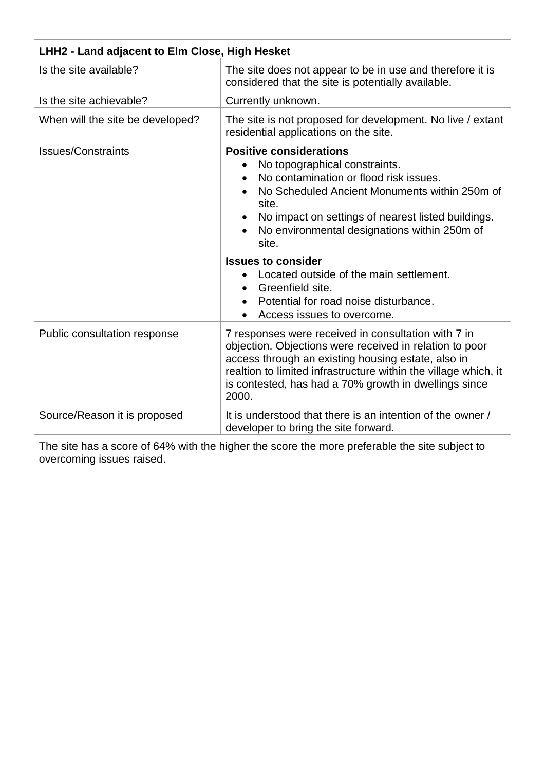| LHH2 - Land adjacent to Elm Close, High Hesket |                                                                                                                                                                                                                                                                                                                                                                                                                                                       |
|------------------------------------------------|-------------------------------------------------------------------------------------------------------------------------------------------------------------------------------------------------------------------------------------------------------------------------------------------------------------------------------------------------------------------------------------------------------------------------------------------------------|
| Is the site available?                         | The site does not appear to be in use and therefore it is<br>considered that the site is potentially available.                                                                                                                                                                                                                                                                                                                                       |
| Is the site achievable?                        | Currently unknown.                                                                                                                                                                                                                                                                                                                                                                                                                                    |
| When will the site be developed?               | The site is not proposed for development. No live / extant<br>residential applications on the site.                                                                                                                                                                                                                                                                                                                                                   |
| <b>Issues/Constraints</b>                      | <b>Positive considerations</b><br>No topographical constraints.<br>No contamination or flood risk issues.<br>No Scheduled Ancient Monuments within 250m of<br>site.<br>No impact on settings of nearest listed buildings.<br>No environmental designations within 250m of<br>site.<br><b>Issues to consider</b><br>Located outside of the main settlement.<br>Greenfield site.<br>Potential for road noise disturbance.<br>Access issues to overcome. |
| Public consultation response                   | 7 responses were received in consultation with 7 in<br>objection. Objections were received in relation to poor<br>access through an existing housing estate, also in<br>realtion to limited infrastructure within the village which, it<br>is contested, has had a 70% growth in dwellings since<br>2000.                                                                                                                                             |
| Source/Reason it is proposed                   | It is understood that there is an intention of the owner /<br>developer to bring the site forward.                                                                                                                                                                                                                                                                                                                                                    |

The site has a score of 64% with the higher the score the more preferable the site subject to overcoming issues raised.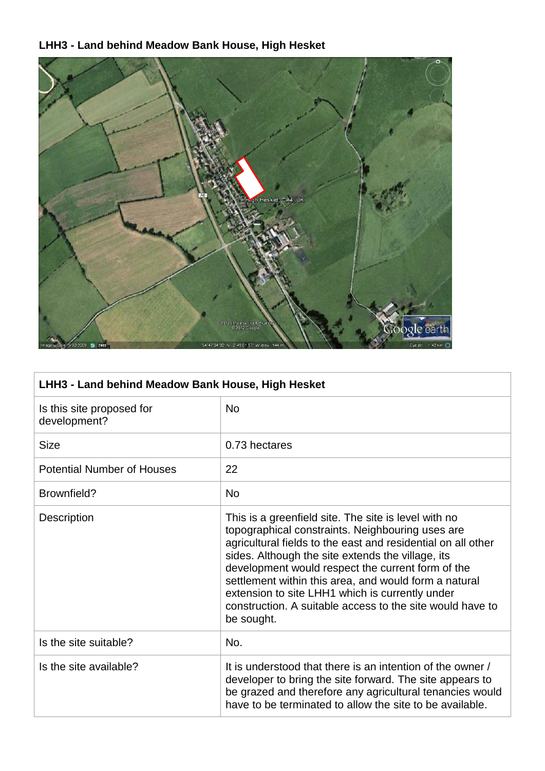## **LHH3 - Land behind Meadow Bank House, High Hesket**



| LHH3 - Land behind Meadow Bank House, High Hesket |                                                                                                                                                                                                                                                                                                                                                                                                                                                                           |
|---------------------------------------------------|---------------------------------------------------------------------------------------------------------------------------------------------------------------------------------------------------------------------------------------------------------------------------------------------------------------------------------------------------------------------------------------------------------------------------------------------------------------------------|
| Is this site proposed for<br>development?         | <b>No</b>                                                                                                                                                                                                                                                                                                                                                                                                                                                                 |
| <b>Size</b>                                       | 0.73 hectares                                                                                                                                                                                                                                                                                                                                                                                                                                                             |
| <b>Potential Number of Houses</b>                 | 22                                                                                                                                                                                                                                                                                                                                                                                                                                                                        |
| Brownfield?                                       | <b>No</b>                                                                                                                                                                                                                                                                                                                                                                                                                                                                 |
| Description                                       | This is a greenfield site. The site is level with no<br>topographical constraints. Neighbouring uses are<br>agricultural fields to the east and residential on all other<br>sides. Although the site extends the village, its<br>development would respect the current form of the<br>settlement within this area, and would form a natural<br>extension to site LHH1 which is currently under<br>construction. A suitable access to the site would have to<br>be sought. |
| Is the site suitable?                             | No.                                                                                                                                                                                                                                                                                                                                                                                                                                                                       |
| Is the site available?                            | It is understood that there is an intention of the owner /<br>developer to bring the site forward. The site appears to<br>be grazed and therefore any agricultural tenancies would<br>have to be terminated to allow the site to be available.                                                                                                                                                                                                                            |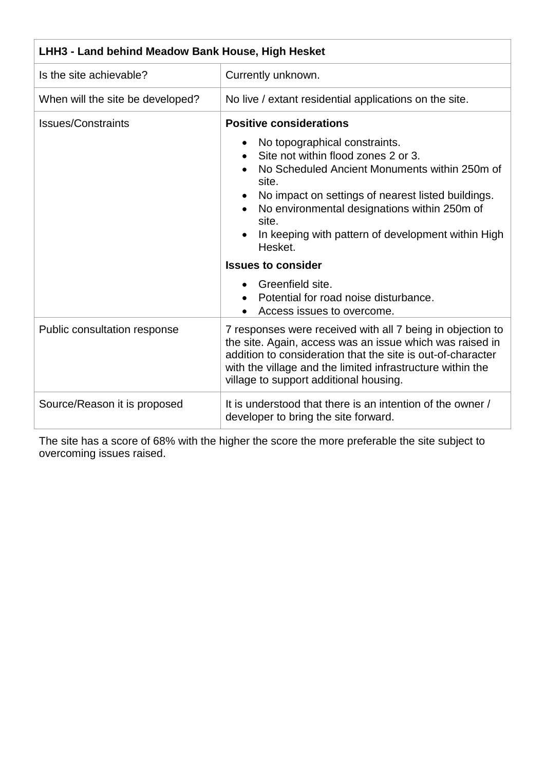| LHH3 - Land behind Meadow Bank House, High Hesket |                                                                                                                                                                                                                                                                                                                                             |
|---------------------------------------------------|---------------------------------------------------------------------------------------------------------------------------------------------------------------------------------------------------------------------------------------------------------------------------------------------------------------------------------------------|
| Is the site achievable?                           | Currently unknown.                                                                                                                                                                                                                                                                                                                          |
| When will the site be developed?                  | No live / extant residential applications on the site.                                                                                                                                                                                                                                                                                      |
| <b>Issues/Constraints</b>                         | <b>Positive considerations</b>                                                                                                                                                                                                                                                                                                              |
|                                                   | No topographical constraints.<br>Site not within flood zones 2 or 3.<br>No Scheduled Ancient Monuments within 250m of<br>site.<br>No impact on settings of nearest listed buildings.<br>No environmental designations within 250m of<br>site.<br>In keeping with pattern of development within High<br>Hesket.<br><b>Issues to consider</b> |
|                                                   | Greenfield site.<br>Potential for road noise disturbance.<br>Access issues to overcome.                                                                                                                                                                                                                                                     |
| Public consultation response                      | 7 responses were received with all 7 being in objection to<br>the site. Again, access was an issue which was raised in<br>addition to consideration that the site is out-of-character<br>with the village and the limited infrastructure within the<br>village to support additional housing.                                               |
| Source/Reason it is proposed                      | It is understood that there is an intention of the owner /<br>developer to bring the site forward.                                                                                                                                                                                                                                          |

The site has a score of 68% with the higher the score the more preferable the site subject to overcoming issues raised.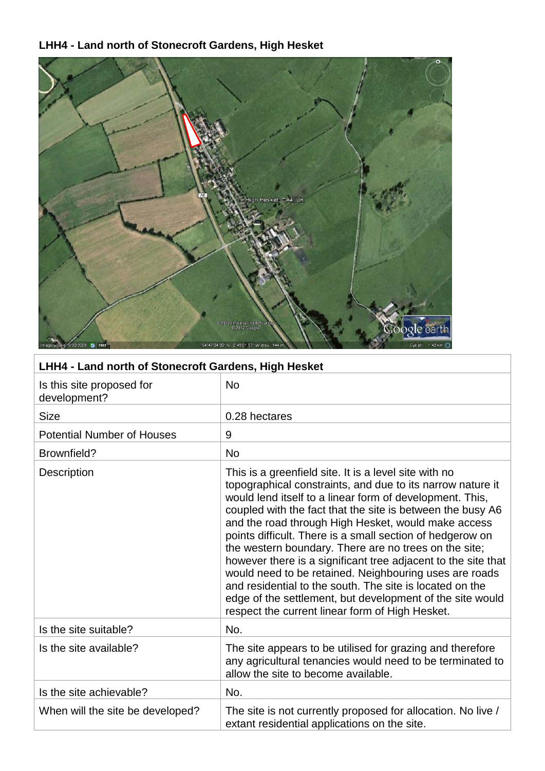## **LHH4 - Land north of Stonecroft Gardens, High Hesket**



| LHH4 - Land north of Stonecroft Gardens, High Hesket |                                                                                                                                                                                                                                                                                                                                                                                                                                                                                                                                                                                                                                                                                                                                   |
|------------------------------------------------------|-----------------------------------------------------------------------------------------------------------------------------------------------------------------------------------------------------------------------------------------------------------------------------------------------------------------------------------------------------------------------------------------------------------------------------------------------------------------------------------------------------------------------------------------------------------------------------------------------------------------------------------------------------------------------------------------------------------------------------------|
| Is this site proposed for<br>development?            | <b>No</b>                                                                                                                                                                                                                                                                                                                                                                                                                                                                                                                                                                                                                                                                                                                         |
| <b>Size</b>                                          | 0.28 hectares                                                                                                                                                                                                                                                                                                                                                                                                                                                                                                                                                                                                                                                                                                                     |
| <b>Potential Number of Houses</b>                    | 9                                                                                                                                                                                                                                                                                                                                                                                                                                                                                                                                                                                                                                                                                                                                 |
| Brownfield?                                          | <b>No</b>                                                                                                                                                                                                                                                                                                                                                                                                                                                                                                                                                                                                                                                                                                                         |
| <b>Description</b>                                   | This is a greenfield site. It is a level site with no<br>topographical constraints, and due to its narrow nature it<br>would lend itself to a linear form of development. This,<br>coupled with the fact that the site is between the busy A6<br>and the road through High Hesket, would make access<br>points difficult. There is a small section of hedgerow on<br>the western boundary. There are no trees on the site;<br>however there is a significant tree adjacent to the site that<br>would need to be retained. Neighbouring uses are roads<br>and residential to the south. The site is located on the<br>edge of the settlement, but development of the site would<br>respect the current linear form of High Hesket. |
| Is the site suitable?                                | No.                                                                                                                                                                                                                                                                                                                                                                                                                                                                                                                                                                                                                                                                                                                               |
| Is the site available?                               | The site appears to be utilised for grazing and therefore<br>any agricultural tenancies would need to be terminated to<br>allow the site to become available.                                                                                                                                                                                                                                                                                                                                                                                                                                                                                                                                                                     |
| Is the site achievable?                              | No.                                                                                                                                                                                                                                                                                                                                                                                                                                                                                                                                                                                                                                                                                                                               |
| When will the site be developed?                     | The site is not currently proposed for allocation. No live /<br>extant residential applications on the site.                                                                                                                                                                                                                                                                                                                                                                                                                                                                                                                                                                                                                      |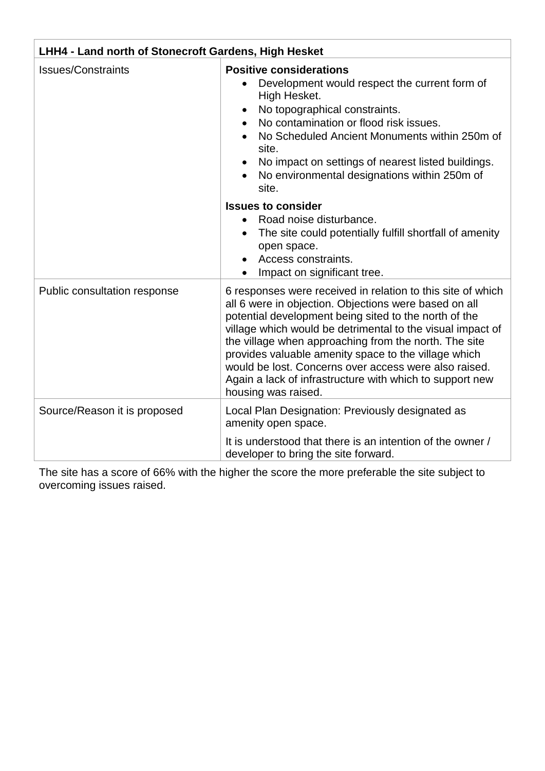| LHH4 - Land north of Stonecroft Gardens, High Hesket |                                                                                                                                                                                                                                                                                                                                                                                                                                                                                                          |
|------------------------------------------------------|----------------------------------------------------------------------------------------------------------------------------------------------------------------------------------------------------------------------------------------------------------------------------------------------------------------------------------------------------------------------------------------------------------------------------------------------------------------------------------------------------------|
| <b>Issues/Constraints</b>                            | <b>Positive considerations</b><br>Development would respect the current form of<br>High Hesket.<br>No topographical constraints.<br>No contamination or flood risk issues.<br>$\bullet$<br>No Scheduled Ancient Monuments within 250m of<br>site.<br>No impact on settings of nearest listed buildings.<br>No environmental designations within 250m of<br>site.                                                                                                                                         |
|                                                      | <b>Issues to consider</b><br>Road noise disturbance.<br>$\bullet$<br>The site could potentially fulfill shortfall of amenity<br>$\bullet$<br>open space.<br>Access constraints.<br>Impact on significant tree.                                                                                                                                                                                                                                                                                           |
| Public consultation response                         | 6 responses were received in relation to this site of which<br>all 6 were in objection. Objections were based on all<br>potential development being sited to the north of the<br>village which would be detrimental to the visual impact of<br>the village when approaching from the north. The site<br>provides valuable amenity space to the village which<br>would be lost. Concerns over access were also raised.<br>Again a lack of infrastructure with which to support new<br>housing was raised. |
| Source/Reason it is proposed                         | Local Plan Designation: Previously designated as<br>amenity open space.                                                                                                                                                                                                                                                                                                                                                                                                                                  |
|                                                      | It is understood that there is an intention of the owner /<br>developer to bring the site forward.                                                                                                                                                                                                                                                                                                                                                                                                       |

The site has a score of 66% with the higher the score the more preferable the site subject to overcoming issues raised.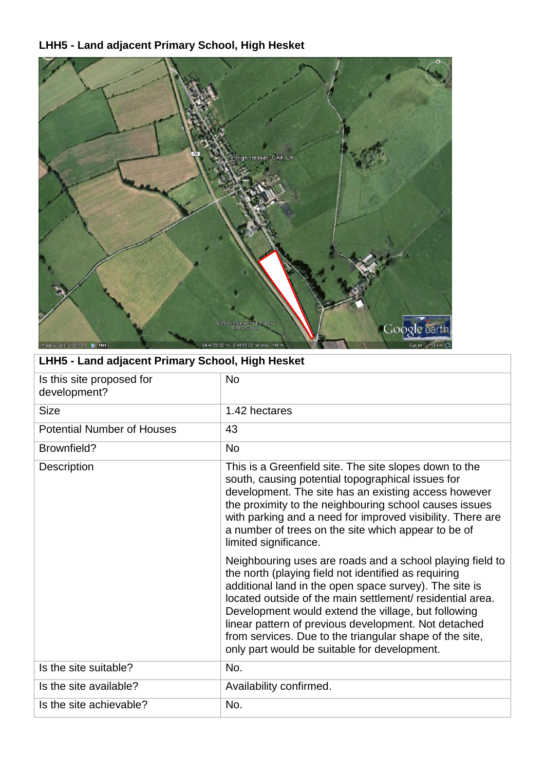# **LHH5 - Land adjacent Primary School, High Hesket**



| LHH5 - Land adjacent Primary School, High Hesket                                                                                                                                                                                                                                                                                                                                                                                                                   |  |
|--------------------------------------------------------------------------------------------------------------------------------------------------------------------------------------------------------------------------------------------------------------------------------------------------------------------------------------------------------------------------------------------------------------------------------------------------------------------|--|
| <b>No</b>                                                                                                                                                                                                                                                                                                                                                                                                                                                          |  |
| 1.42 hectares                                                                                                                                                                                                                                                                                                                                                                                                                                                      |  |
| 43                                                                                                                                                                                                                                                                                                                                                                                                                                                                 |  |
| <b>No</b>                                                                                                                                                                                                                                                                                                                                                                                                                                                          |  |
| This is a Greenfield site. The site slopes down to the<br>south, causing potential topographical issues for<br>development. The site has an existing access however<br>the proximity to the neighbouring school causes issues<br>with parking and a need for improved visibility. There are<br>a number of trees on the site which appear to be of<br>limited significance.                                                                                        |  |
| Neighbouring uses are roads and a school playing field to<br>the north (playing field not identified as requiring<br>additional land in the open space survey). The site is<br>located outside of the main settlement/ residential area.<br>Development would extend the village, but following<br>linear pattern of previous development. Not detached<br>from services. Due to the triangular shape of the site,<br>only part would be suitable for development. |  |
| No.                                                                                                                                                                                                                                                                                                                                                                                                                                                                |  |
| Availability confirmed.                                                                                                                                                                                                                                                                                                                                                                                                                                            |  |
| No.                                                                                                                                                                                                                                                                                                                                                                                                                                                                |  |
|                                                                                                                                                                                                                                                                                                                                                                                                                                                                    |  |